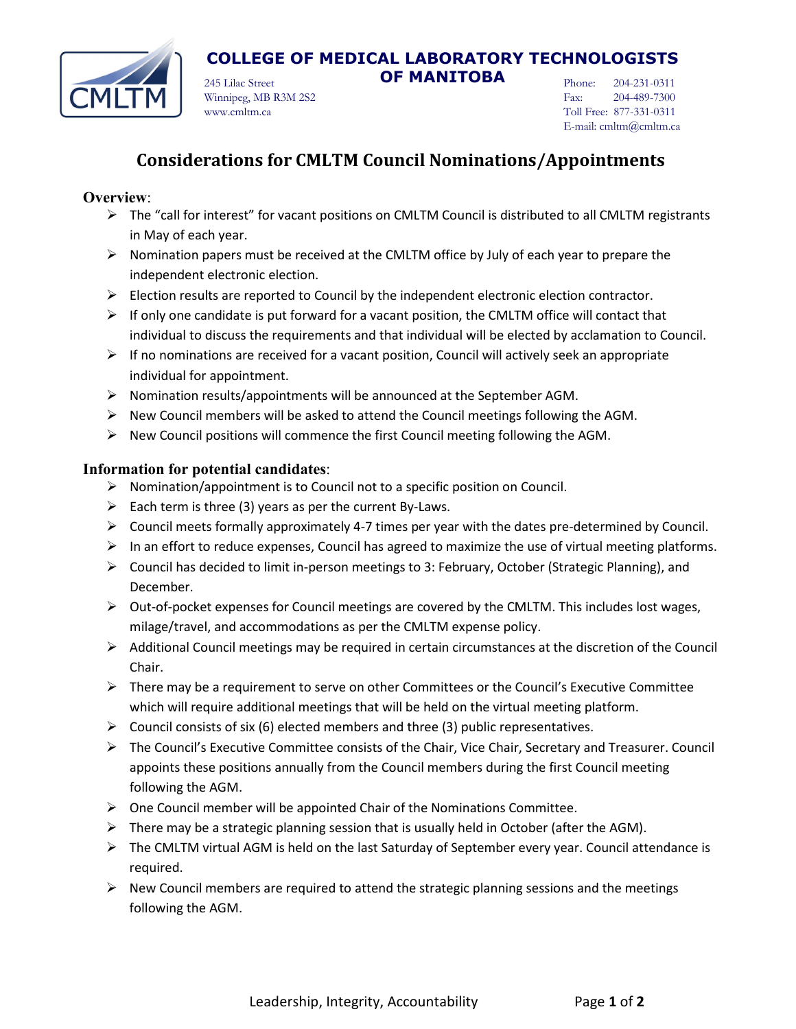

# **COLLEGE OF MEDICAL LABORATORY TECHNOLOGISTS**

245 Lilac Street **OF MANITOBA** Winnipeg, MB R3M 2S2 www.cmltm.ca

Phone: 204-231-0311 Fax: 204-489-7300 Toll Free: 877-331-0311 E-mail: cmltm@cmltm.ca

### **Considerations for CMLTM Council Nominations/Appointments**

#### **Overview**:

- $\triangleright$  The "call for interest" for vacant positions on CMLTM Council is distributed to all CMLTM registrants in May of each year.
- $\triangleright$  Nomination papers must be received at the CMLTM office by July of each year to prepare the independent electronic election.
- $\triangleright$  Election results are reported to Council by the independent electronic election contractor.
- $\triangleright$  If only one candidate is put forward for a vacant position, the CMLTM office will contact that individual to discuss the requirements and that individual will be elected by acclamation to Council.
- $\triangleright$  If no nominations are received for a vacant position, Council will actively seek an appropriate individual for appointment.
- $\triangleright$  Nomination results/appointments will be announced at the September AGM.
- $\triangleright$  New Council members will be asked to attend the Council meetings following the AGM.
- $\triangleright$  New Council positions will commence the first Council meeting following the AGM.

#### **Information for potential candidates**:

- $\triangleright$  Nomination/appointment is to Council not to a specific position on Council.
- Each term is three (3) years as per the current By-Laws.
- $\triangleright$  Council meets formally approximately 4-7 times per year with the dates pre-determined by Council.
- $\triangleright$  In an effort to reduce expenses, Council has agreed to maximize the use of virtual meeting platforms.
- $\triangleright$  Council has decided to limit in-person meetings to 3: February, October (Strategic Planning), and December.
- $\triangleright$  Out-of-pocket expenses for Council meetings are covered by the CMLTM. This includes lost wages, milage/travel, and accommodations as per the CMLTM expense policy.
- $\triangleright$  Additional Council meetings may be required in certain circumstances at the discretion of the Council Chair.
- $\triangleright$  There may be a requirement to serve on other Committees or the Council's Executive Committee which will require additional meetings that will be held on the virtual meeting platform.
- $\triangleright$  Council consists of six (6) elected members and three (3) public representatives.
- The Council's Executive Committee consists of the Chair, Vice Chair, Secretary and Treasurer. Council appoints these positions annually from the Council members during the first Council meeting following the AGM.
- $\triangleright$  One Council member will be appointed Chair of the Nominations Committee.
- $\triangleright$  There may be a strategic planning session that is usually held in October (after the AGM).
- $\triangleright$  The CMLTM virtual AGM is held on the last Saturday of September every year. Council attendance is required.
- $\triangleright$  New Council members are required to attend the strategic planning sessions and the meetings following the AGM.